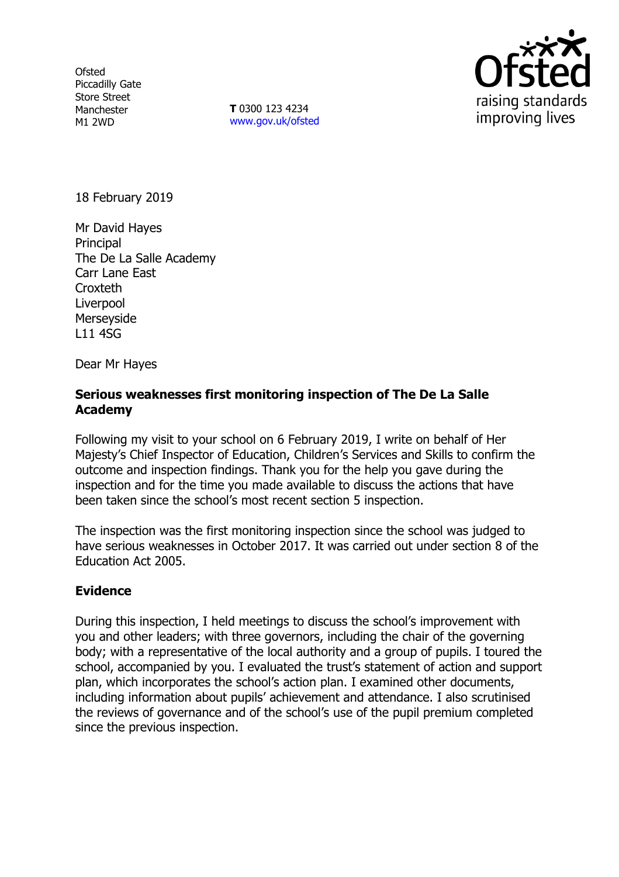**Ofsted** Piccadilly Gate Store Street Manchester M1 2WD

**T** 0300 123 4234 www.gov.uk/ofsted



18 February 2019

Mr David Hayes Principal The De La Salle Academy Carr Lane East **Croxteth** Liverpool Merseyside L11 4SG

Dear Mr Hayes

## **Serious weaknesses first monitoring inspection of The De La Salle Academy**

Following my visit to your school on 6 February 2019, I write on behalf of Her Majesty's Chief Inspector of Education, Children's Services and Skills to confirm the outcome and inspection findings. Thank you for the help you gave during the inspection and for the time you made available to discuss the actions that have been taken since the school's most recent section 5 inspection.

The inspection was the first monitoring inspection since the school was judged to have serious weaknesses in October 2017. It was carried out under section 8 of the Education Act 2005.

## **Evidence**

During this inspection, I held meetings to discuss the school's improvement with you and other leaders; with three governors, including the chair of the governing body; with a representative of the local authority and a group of pupils. I toured the school, accompanied by you. I evaluated the trust's statement of action and support plan, which incorporates the school's action plan. I examined other documents, including information about pupils' achievement and attendance. I also scrutinised the reviews of governance and of the school's use of the pupil premium completed since the previous inspection.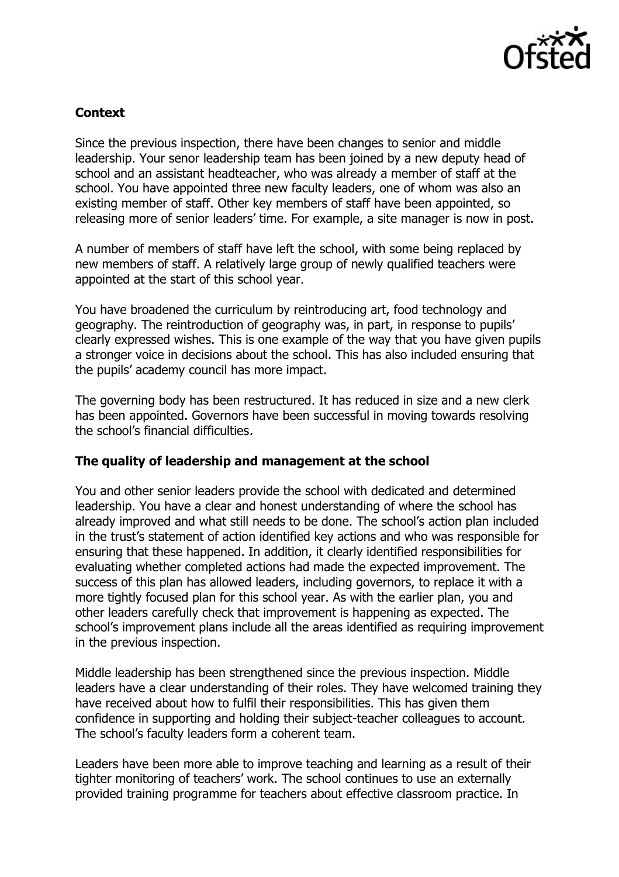

## **Context**

Since the previous inspection, there have been changes to senior and middle leadership. Your senor leadership team has been joined by a new deputy head of school and an assistant headteacher, who was already a member of staff at the school. You have appointed three new faculty leaders, one of whom was also an existing member of staff. Other key members of staff have been appointed, so releasing more of senior leaders' time. For example, a site manager is now in post.

A number of members of staff have left the school, with some being replaced by new members of staff. A relatively large group of newly qualified teachers were appointed at the start of this school year.

You have broadened the curriculum by reintroducing art, food technology and geography. The reintroduction of geography was, in part, in response to pupils' clearly expressed wishes. This is one example of the way that you have given pupils a stronger voice in decisions about the school. This has also included ensuring that the pupils' academy council has more impact.

The governing body has been restructured. It has reduced in size and a new clerk has been appointed. Governors have been successful in moving towards resolving the school's financial difficulties.

## **The quality of leadership and management at the school**

You and other senior leaders provide the school with dedicated and determined leadership. You have a clear and honest understanding of where the school has already improved and what still needs to be done. The school's action plan included in the trust's statement of action identified key actions and who was responsible for ensuring that these happened. In addition, it clearly identified responsibilities for evaluating whether completed actions had made the expected improvement. The success of this plan has allowed leaders, including governors, to replace it with a more tightly focused plan for this school year. As with the earlier plan, you and other leaders carefully check that improvement is happening as expected. The school's improvement plans include all the areas identified as requiring improvement in the previous inspection.

Middle leadership has been strengthened since the previous inspection. Middle leaders have a clear understanding of their roles. They have welcomed training they have received about how to fulfil their responsibilities. This has given them confidence in supporting and holding their subject-teacher colleagues to account. The school's faculty leaders form a coherent team.

Leaders have been more able to improve teaching and learning as a result of their tighter monitoring of teachers' work. The school continues to use an externally provided training programme for teachers about effective classroom practice. In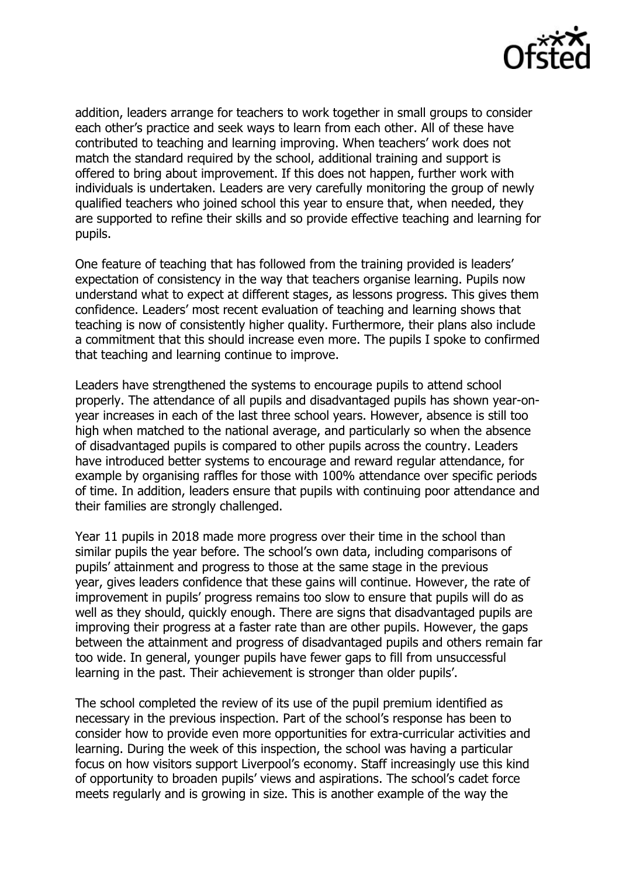

addition, leaders arrange for teachers to work together in small groups to consider each other's practice and seek ways to learn from each other. All of these have contributed to teaching and learning improving. When teachers' work does not match the standard required by the school, additional training and support is offered to bring about improvement. If this does not happen, further work with individuals is undertaken. Leaders are very carefully monitoring the group of newly qualified teachers who joined school this year to ensure that, when needed, they are supported to refine their skills and so provide effective teaching and learning for pupils.

One feature of teaching that has followed from the training provided is leaders' expectation of consistency in the way that teachers organise learning. Pupils now understand what to expect at different stages, as lessons progress. This gives them confidence. Leaders' most recent evaluation of teaching and learning shows that teaching is now of consistently higher quality. Furthermore, their plans also include a commitment that this should increase even more. The pupils I spoke to confirmed that teaching and learning continue to improve.

Leaders have strengthened the systems to encourage pupils to attend school properly. The attendance of all pupils and disadvantaged pupils has shown year-onyear increases in each of the last three school years. However, absence is still too high when matched to the national average, and particularly so when the absence of disadvantaged pupils is compared to other pupils across the country. Leaders have introduced better systems to encourage and reward regular attendance, for example by organising raffles for those with 100% attendance over specific periods of time. In addition, leaders ensure that pupils with continuing poor attendance and their families are strongly challenged.

Year 11 pupils in 2018 made more progress over their time in the school than similar pupils the year before. The school's own data, including comparisons of pupils' attainment and progress to those at the same stage in the previous year, gives leaders confidence that these gains will continue. However, the rate of improvement in pupils' progress remains too slow to ensure that pupils will do as well as they should, quickly enough. There are signs that disadvantaged pupils are improving their progress at a faster rate than are other pupils. However, the gaps between the attainment and progress of disadvantaged pupils and others remain far too wide. In general, younger pupils have fewer gaps to fill from unsuccessful learning in the past. Their achievement is stronger than older pupils'.

The school completed the review of its use of the pupil premium identified as necessary in the previous inspection. Part of the school's response has been to consider how to provide even more opportunities for extra-curricular activities and learning. During the week of this inspection, the school was having a particular focus on how visitors support Liverpool's economy. Staff increasingly use this kind of opportunity to broaden pupils' views and aspirations. The school's cadet force meets regularly and is growing in size. This is another example of the way the